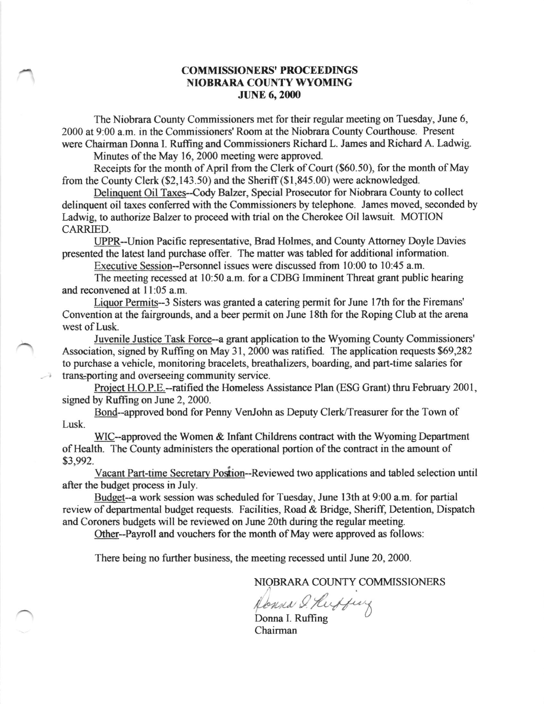## COMMISSIONERS' PROCEEDINGS NIOBRARA COUNTY WYOMING **JUNE 6, 2000**

The Niobrara County Commissioners met for their regular meeting on Tuesday, June 6, 2000 at 9:00 a.m. in the Commissioners'Room at the Niobrara County Courthouse. Present were Chairman Donna I. Ruffing and Commissioners Richard L. James and Richard A. Ladwig. Minutes of the May 16, 2000 meeting were approved.

Receipts for the month of April from the Clerk of Court (\$60.50), for the month of May

from the County Clerk (\$2,143.50) and the Sheriff(\$1,845.00) were acknowledged.

Delinquent Oil Taxes-Cody Balzer, Special Prosecutor for Niobrara County to collect delinquent oil taxes confened with the Commissioners by telephone. James moved, seconded by Ladwig, to authorize Balzer to proceed with trial on the Cherokee Oil lawsuit. MOTION CARRIED.

UPPR-Union Pacific representative, Brad Holmes, and County Attomey Doyle Davies presented the latest land purchase offer. The matter was tabled for additional information.

Executive Session--Personnel issues were discussed from 10:00 to l0:45 a.m.

The meeting recessed at 10:50 a.m. for a CDBG Imminent Threat grant public hearing and reconvened at 11:05 a.m.

Liquor Permits-3 Sisters was granted a catering permit for June 17th for the Firemans' Convention at the fairgrounds, and a beer permit on June 18th for the Roping Club at the arena west of Lusk.

Juvenile Justice Task Force--a grant application to the Wyoming County Commissioners' Association, signed by Ruffing on May 31, 2000 was ratified. The application requests \$69,282 to purchase a vehicle, monitoring bracelets, breathalizers, boarding, and part-time salaries for trans-porting and overseeing community service.

Project H.O.P.E.--ratified the Homeless Assistance Plan (ESG Grant) thru February 2001, signed by Ruffing on June 2, 2000.

Bond--approved bond for Penny VenJohn as Deputy Clerk/Treasurer for the Town of Lusk.

WIC-approved the Women & Infant Childrens contract with the Wyoming Department of Health. The County administers the operational portion of the contract in the amount of \$3,992.

Vacant Part-time Secretary Postion--Reviewed two applications and tabled selection until after the budget process in July.

Budget-a work session was scheduled for Tuesday, June l3th at 9:00 a.m. for partial review of departmental budget requests. Facilities, Road & Bridge, Sheriff, Detention, Dispatch and Coroners budgets will be reviewed on June 20th during the regular meeting.

Other--Payroll and vouchers for the month of May were approved as follows:

There being no further business, the meeting recessed until June 20, 2000.

NIOBRARA COUNTY COMMISSIONERS

Honna & Kerfing

Donna I. Ruffing Chairman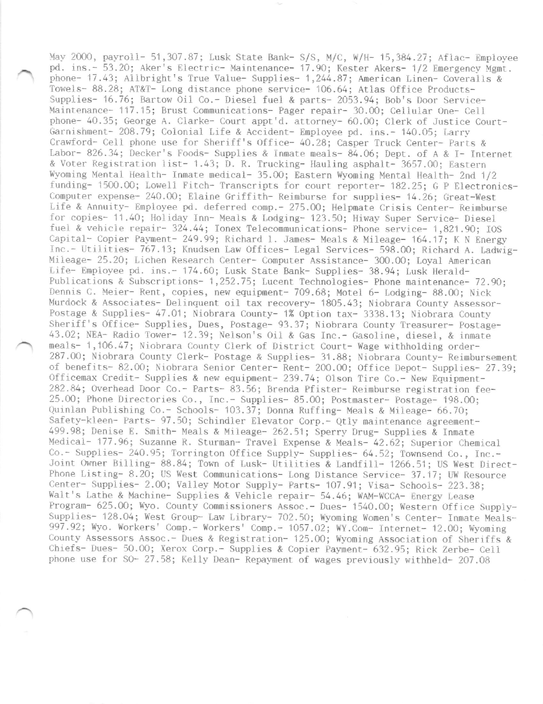May 2000, payroll- 51,307.87; Lusk State Bank- S/S, M/C, W/H- 15,384.27; Aflac- Employee pd. ins.- 53.20; Aker's Electric- Maintenance- 17.90; Kester Akers- 1/2 Emergency Mgmt. phone- 17.43; Allbright's True Value- Supplies- 1,244.87; American Linen- Coveralls & Towels- 88.28; AT&T- Long distance phone service- 106.64; Atlas Office Products-Supplies- 16.76; Bartow Oil Co.- Diesel fuel & parts- 2053.94; Bob's Door Service-Maintenance- 117.15; Brust Communications- Pager repair- 30.00; Cellular One- Cell phone- 40.35; George A. Clarke- Court appt'd. attorney- 60.00; Clerk of Justice Court-Garnishment- 208.79; Colonial Life & Accident- Employee pd. ins.- 140.05; Larry Crawford- Cell phone use for Sheriff's Office- 40.28; Casper Truck Center- Parts & Labor- 826.34; Decker's Foods- Supplies & Inmate meals- 84.06; Dept. of A & I- Internet & Voter Registration list- 1.43; D. R. Trucking- Hauling asphalt- 3657.00; Eastern Wyoming Mental Health- Inmate medical- 35.00; Eastern Wyoming Mental Health- 2nd 1/2 funding- 1500.00; Lowell Fitch- Transcripts for court reporter- 182.25; G P Electronics-Computer expense- 240.00; Elaine Griffith- Reimburse for supplies- 14.26; Great-West Life & Annuity- Employee pd. deferred comp. - 275.00; Helpmate Crisis Center- Reimburse for copies- 11.40; Holiday Inn- Meals & Lodging- 123.50; Hiway Super Service- Diesel fuel & vehicle repair- 324.44; Ionex Telecommunications- Phone service- 1.821.90; IOS Capital- Copier Payment- 249.99; Richard 1. James- Meals & Mileage- 164.17; K N Energy Inc.- Utilities- 767.13; Knudsen Law Offices- Legal Services- 598.00; Richard A. Ladwig-Mileage- 25.20; Lichen Research Center- Computer Assistance- 300.00; Loyal American Life- Employee pd. ins.- 174.60; Lusk State Bank- Supplies- 38.94; Lusk Herald-Publications & Subscriptions- 1,252.75; Lucent Technologies- Phone maintenance- 72.90; Dennis C. Meier- Rent, copies, new equipment- 709.68; Motel 6- Lodging- 88.00; Nick Murdock & Associates- Delinquent oil tax recovery- 1805.43; Niobrara County Assessor-Postage & Supplies- 47.01; Niobrara County- 1% Option tax- 3338.13; Niobrara County Sheriff's Office- Supplies, Dues, Postage- 93.37; Niobrara County Treasurer- Postage-43.02; NEA- Radio Tower- 12.39; Nelson's Oil & Gas Inc.- Gasoline, diesel, & inmate meals- 1,106.47; Niobrara County Clerk of District Court- Wage withholding order-287.00; Niobrara County Clerk- Postage & Supplies- 31.88; Niobrara County- Reimbursement of benefits-82.00; Niobrara Senior Center-Rent-200.00; Office Depot-Supplies-27.39; Officemax Credit- Supplies & new equipment- 239.74; Olson Tire Co.- New Equipment-282.84; Overhead Door Co.- Parts- 83.56; Brenda Pfister- Reimburse registration fee-25.00; Phone Directories Co., Inc.- Supplies- 85.00; Postmaster- Postage- 198.00; Quinlan Publishing Co.- Schools- 103.37; Donna Ruffing- Meals & Mileage- 66.70; Safety-kleen- Parts- 97.50; Schindler Elevator Corp.- Qtly maintenance agreement-499.98; Denise E. Smith- Meals & Mileage- 262.51; Sperry Drug- Supplies & Inmate Medical- 177.96; Suzanne R. Sturman- Travel Expense & Meals- 42.62; Superior Chemical Co.- Supplies- 240.95; Torrington Office Supply- Supplies- 64.52; Townsend Co., Inc.-Joint Owner Billing-88.84; Town of Lusk- Utilities & Landfill- 1266.51; US West Direct-Phone Listing- 8.20; US West Communications- Long Distance Service- 37.17; UW Resource Center- Supplies- 2.00; Valley Motor Supply- Parts- 107.91; Visa- Schools- 223.38; Walt's Lathe & Machine- Supplies & Vehicle repair- 54.46; WAM-WCCA- Energy Lease Program- 625.00; Wyo. County Commissioners Assoc.- Dues- 1540.00; Western Office Supply-Supplies- 128.04; West Group- Law Library- 702.50; Wyoming Women's Center- Inmate Meals-997.92; Wyo. Workers' Comp.- Workers' Comp.- 1057.02; WY.Com- Internet- 12.00: Wyoming County Assessors Assoc.- Dues & Registration- 125.00; Wyoming Association of Sheriffs & Chiefs- Dues- 50.00; Xerox Corp.- Supplies & Copier Payment- 632.95; Rick Zerbe- Cell phone use for S0- 27.58; Kelly Dean- Repayment of wages previously withheld- 207.08